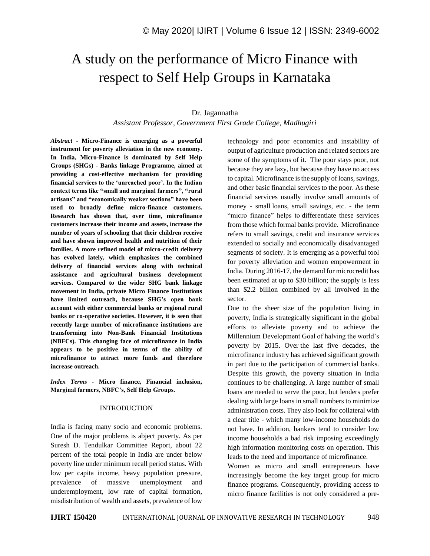# A study on the performance of Micro Finance with respect to Self Help Groups in Karnataka

#### Dr. Jagannatha

*Assistant Professor, Government First Grade College, Madhugiri*

*Abstract -* **Micro-Finance is emerging as a powerful instrument for poverty alleviation in the new economy. In India, Micro-Finance is dominated by Self Help Groups (SHGs) - Banks linkage Programme, aimed at providing a cost-effective mechanism for providing financial services to the 'unreached poor'. In the Indian context terms like "small and marginal farmers", "rural artisans" and "economically weaker sections" have been used to broadly define micro-finance customers. Research has shown that, over time, microfinance customers increase their income and assets, increase the number of years of schooling that their children receive and have shown improved health and nutrition of their families. A more refined model of micro-credit delivery has evolved lately, which emphasizes the combined delivery of financial services along with technical assistance and agricultural business development services. Compared to the wider SHG bank linkage movement in India, private Micro Finance Institutions have limited outreach, because SHG's open bank account with either commercial banks or regional rural banks or co-operative societies. However, it is seen that recently large number of microfinance institutions are transforming into Non-Bank Financial Institutions (NBFCs). This changing face of microfinance in India appears to be positive in terms of the ability of microfinance to attract more funds and therefore increase outreach.**

*Index Terms -* **Micro finance, Financial inclusion, Marginal farmers, NBFC's, Self Help Groups.**

#### INTRODUCTION

India is facing many socio and economic problems. One of the major problems is abject poverty. As per Suresh D. Tendulkar Committee Report, about 22 percent of the total people in India are under below poverty line under minimum recall period status. With low per capita income, heavy population pressure, prevalence of massive unemployment and underemployment, low rate of capital formation, misdistribution of wealth and assets, prevalence of low

technology and poor economics and instability of output of agriculture production and related sectors are some of the symptoms of it. The poor stays poor, not because they are lazy, but because they have no access to capital. Microfinance is the supply of loans, savings, and other basic financial services to the poor. As these financial services usually involve small amounts of money - small loans, small savings, etc. - the term "micro finance" helps to differentiate these services from those which formal banks provide. Microfinance refers to small savings, credit and insurance services extended to socially and economically disadvantaged segments of society. It is emerging as a powerful tool for poverty alleviation and women empowerment in India. During 2016-17, the demand for microcredit has been estimated at up to \$30 billion; the supply is less than \$2.2 billion combined by all involved in the sector.

Due to the sheer size of the population living in poverty, India is strategically significant in the global efforts to alleviate poverty and to achieve the Millennium Development Goal of halving the world's poverty by 2015. Over the last five decades, the microfinance industry has achieved significant growth in part due to the participation of commercial banks. Despite this growth, the poverty situation in India continues to be challenging. A large number of small loans are needed to serve the poor, but lenders prefer dealing with large loans in small numbers to minimize administration costs. They also look for collateral with a clear title - which many low-income households do not have. In addition, bankers tend to consider low income households a bad risk imposing exceedingly high information monitoring costs on operation. This leads to the need and importance of microfinance.

Women as micro and small entrepreneurs have increasingly become the key target group for micro finance programs. Consequently, providing access to micro finance facilities is not only considered a pre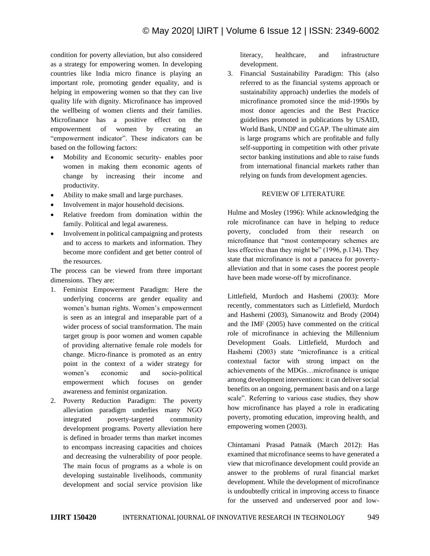condition for poverty alleviation, but also considered as a strategy for empowering women. In developing countries like India micro finance is playing an important role, promoting gender equality, and is helping in empowering women so that they can live quality life with dignity. Microfinance has improved the wellbeing of women clients and their families. Microfinance has a positive effect on the empowerment of women by creating an "empowerment indicator". These indicators can be based on the following factors:

- Mobility and Economic security- enables poor women in making them economic agents of change by increasing their income and productivity.
- Ability to make small and large purchases.
- Involvement in major household decisions.
- Relative freedom from domination within the family. Political and legal awareness.
- Involvement in political campaigning and protests and to access to markets and information. They become more confident and get better control of the resources.

The process can be viewed from three important dimensions. They are:

- 1. Feminist Empowerment Paradigm: Here the underlying concerns are gender equality and women's human rights. Women's empowerment is seen as an integral and inseparable part of a wider process of social transformation. The main target group is poor women and women capable of providing alternative female role models for change. Micro-finance is promoted as an entry point in the context of a wider strategy for women's economic and socio-political empowerment which focuses on gender awareness and feminist organization.
- 2. Poverty Reduction Paradigm: The poverty alleviation paradigm underlies many NGO integrated poverty-targeted community development programs. Poverty alleviation here is defined in broader terms than market incomes to encompass increasing capacities and choices and decreasing the vulnerability of poor people. The main focus of programs as a whole is on developing sustainable livelihoods, community development and social service provision like

literacy, healthcare, and infrastructure development.

3. Financial Sustainability Paradigm: This (also referred to as the financial systems approach or sustainability approach) underlies the models of microfinance promoted since the mid-1990s by most donor agencies and the Best Practice guidelines promoted in publications by USAID, World Bank, UNDP and CGAP. The ultimate aim is large programs which are profitable and fully self-supporting in competition with other private sector banking institutions and able to raise funds from international financial markets rather than relying on funds from development agencies.

#### REVIEW OF LITERATURE

Hulme and Mosley (1996): While acknowledging the role microfinance can have in helping to reduce poverty, concluded from their research on microfinance that "most contemporary schemes are less effective than they might be" (1996, p.134). They state that microfinance is not a panacea for povertyalleviation and that in some cases the poorest people have been made worse-off by microfinance.

Littlefield, Murdoch and Hashemi (2003): More recently, commentators such as Littlefield, Murdoch and Hashemi (2003), Simanowitz and Brody (2004) and the IMF (2005) have commented on the critical role of microfinance in achieving the Millennium Development Goals. Littlefield, Murdoch and Hashemi (2003) state "microfinance is a critical contextual factor with strong impact on the achievements of the MDGs…microfinance is unique among development interventions: it can deliver social benefits on an ongoing, permanent basis and on a large scale". Referring to various case studies, they show how microfinance has played a role in eradicating poverty, promoting education, improving health, and empowering women (2003).

Chintamani Prasad Patnaik (March 2012): Has examined that microfinance seems to have generated a view that microfinance development could provide an answer to the problems of rural financial market development. While the development of microfinance is undoubtedly critical in improving access to finance for the unserved and underserved poor and low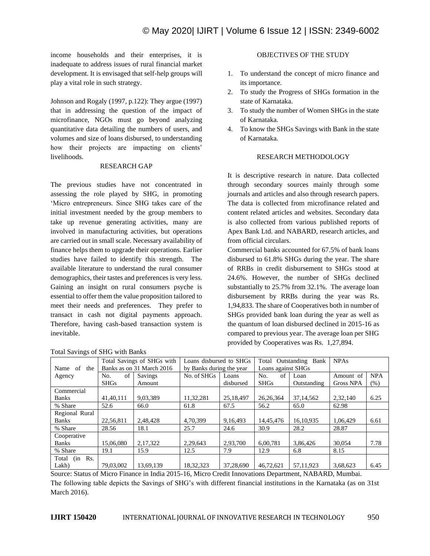income households and their enterprises, it is inadequate to address issues of rural financial market development. It is envisaged that self-help groups will play a vital role in such strategy.

Johnson and Rogaly (1997, p.122): They argue (1997) that in addressing the question of the impact of microfinance, NGOs must go beyond analyzing quantitative data detailing the numbers of users, and volumes and size of loans disbursed, to understanding how their projects are impacting on clients' livelihoods.

#### RESEARCH GAP

The previous studies have not concentrated in assessing the role played by SHG, in promoting 'Micro entrepreneurs. Since SHG takes care of the initial investment needed by the group members to take up revenue generating activities, many are involved in manufacturing activities, but operations are carried out in small scale. Necessary availability of finance helps them to upgrade their operations. Earlier studies have failed to identify this strength. The available literature to understand the rural consumer demographics, their tastes and preferences is very less. Gaining an insight on rural consumers psyche is essential to offer them the value proposition tailored to meet their needs and preferences. They prefer to transact in cash not digital payments approach. Therefore, having cash-based transaction system is inevitable.

| <b>Total Savings of SHG with Banks</b> |  |  |                                         |  |  |  |  |  |  |
|----------------------------------------|--|--|-----------------------------------------|--|--|--|--|--|--|
|                                        |  |  | Name of the Banks as on 31 March 2016 t |  |  |  |  |  |  |
|                                        |  |  |                                         |  |  |  |  |  |  |

#### OBJECTIVES OF THE STUDY

- 1. To understand the concept of micro finance and its importance.
- 2. To study the Progress of SHGs formation in the state of Karnataka.
- 3. To study the number of Women SHGs in the state of Karnataka.
- 4. To know the SHGs Savings with Bank in the state of Karnataka.

#### RESEARCH METHODOLOGY

It is descriptive research in nature. Data collected through secondary sources mainly through some journals and articles and also through research papers. The data is collected from microfinance related and content related articles and websites. Secondary data is also collected from various published reports of Apex Bank Ltd. and NABARD, research articles, and from official circulars.

Commercial banks accounted for 67.5% of bank loans disbursed to 61.8% SHGs during the year. The share of RRBs in credit disbursement to SHGs stood at 24.6%. However, the number of SHGs declined substantially to 25.7% from 32.1%. The average loan disbursement by RRBs during the year was Rs. 1,94,833. The share of Cooperatives both in number of SHGs provided bank loan during the year as well as the quantum of loan disbursed declined in 2015-16 as compared to previous year. The average loan per SHG provided by Cooperatives was Rs. 1,27,894.

| Name<br>of<br>the   | Total Savings of SHGs with<br>Banks as on 31 March 2016 |           | Loans disbursed to SHGs<br>by Banks during the year |           | Total Outstanding Bank<br>Loans against SHGs |             | <b>NPAs</b>      |            |
|---------------------|---------------------------------------------------------|-----------|-----------------------------------------------------|-----------|----------------------------------------------|-------------|------------------|------------|
| Agency              | of<br>No.                                               | Savings   | No. of SHGs                                         | Loans     | of<br>No.                                    | Loan        | Amount of        | <b>NPA</b> |
|                     | <b>SHGs</b>                                             | Amount    |                                                     | disbursed | <b>SHGs</b>                                  | Outstanding | <b>Gross NPA</b> | (% )       |
| Commercial          |                                                         |           |                                                     |           |                                              |             |                  |            |
| <b>Banks</b>        | 41,40,111                                               | 9.03.389  | 11,32,281                                           | 25,18,497 | 26, 26, 364                                  | 37, 14, 562 | 2,32,140         | 6.25       |
| % Share             | 52.6                                                    | 66.0      | 61.8                                                | 67.5      | 56.2                                         | 65.0        | 62.98            |            |
| Regional Rural      |                                                         |           |                                                     |           |                                              |             |                  |            |
| <b>Banks</b>        | 22,56,811                                               | 2.48.428  | 4.70.399                                            | 9,16,493  | 14,45,476                                    | 16,10,935   | 1.06.429         | 6.61       |
| % Share             | 28.56                                                   | 18.1      | 25.7                                                | 24.6      | 30.9                                         | 28.2        | 28.87            |            |
| Cooperative         |                                                         |           |                                                     |           |                                              |             |                  |            |
| <b>Banks</b>        | 15.06.080                                               | 2,17,322  | 2,29,643                                            | 2,93,700  | 6,00,781                                     | 3.86.426    | 30,054           | 7.78       |
| % Share             | 19.1                                                    | 15.9      | 12.5                                                | 7.9       | 12.9                                         | 6.8         | 8.15             |            |
| (in<br>Rs.<br>Total |                                                         |           |                                                     |           |                                              |             |                  |            |
| Lakh)               | 79,03,002                                               | 13.69.139 | 18.32.323                                           | 37,28,690 | 46,72,621                                    | 57.11.923   | 3.68.623         | 6.45       |

Source: Status of Micro Finance in India 2015-16, Micro Credit Innovations Department, NABARD, Mumbai.

The following table depicts the Savings of SHG's with different financial institutions in the Karnataka (as on 31st March 2016).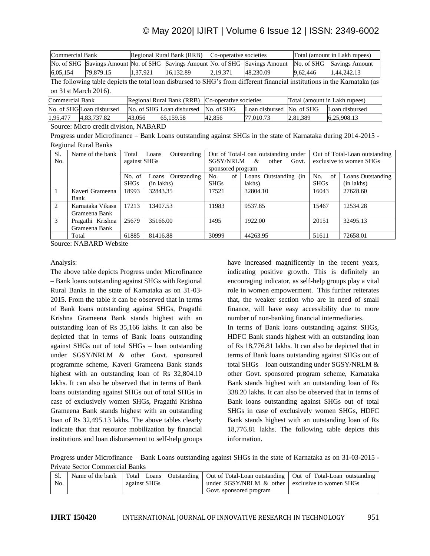## © May 2020| IJIRT | Volume 6 Issue 12 | ISSN: 2349-6002

| Commercial Bank |           |          | Regional Rural Bank (RRB) | Co-operative societies |                                                                               | Total (amount in Lakh rupees) |                           |
|-----------------|-----------|----------|---------------------------|------------------------|-------------------------------------------------------------------------------|-------------------------------|---------------------------|
|                 |           |          |                           |                        | No. of SHG Savings Amount No. of SHG Savings Amount No. of SHG Savings Amount |                               | No. of SHG Savings Amount |
| 6,05,154        | 79.879.15 | 1.37.921 | 16.132.89                 | 2,19,371               | 48.230.09                                                                     | 9,62,446                      | 1,44,242,13               |

The following table depicts the total loan disbursed to SHG's from different financial institutions in the Karnataka (as on 31st March 2016).

| <b>Commercial Bank</b>    | Regional Rural Bank (RRB) Co-operative societies |                                      |        |                           | Total (amount in Lakh rupees) |                |
|---------------------------|--------------------------------------------------|--------------------------------------|--------|---------------------------|-------------------------------|----------------|
| No. of SHGILoan disbursed |                                                  | No. of SHG Loan disbursed No. of SHG |        | Loan disbursed No. of SHG |                               | Loan disbursed |
| 1,95,477<br>4.83.737.82   | 43.056                                           | 65.159.58                            | 42,856 | 77,010.73                 | 2.81.389                      | 6,25,908.13    |

Source: Micro credit division, NABARD

Progress under Microfinance – Bank Loans outstanding against SHGs in the state of Karnataka during 2014-2015 - Regional Rural Banks

| Sl.            | Name of the bank | Total        | Outstanding<br>Loans |                   | Out of Total-Loan outstanding under |             | Out of Total-Loan outstanding |
|----------------|------------------|--------------|----------------------|-------------------|-------------------------------------|-------------|-------------------------------|
| N <sub>o</sub> |                  | against SHGs |                      | <b>SGSY/NRLM</b>  | &<br>other<br>Govt.                 |             | exclusive to women SHGs       |
|                |                  |              |                      | sponsored program |                                     |             |                               |
|                |                  | No. of       | Outstanding<br>Loans | of<br>No.         | Loans Outstanding (in               | No.<br>of   | Loans Outstanding             |
|                |                  | <b>SHGs</b>  | (in lakhs)           | <b>SHGs</b>       | lakhs)                              | <b>SHGs</b> | (in lakhs)                    |
| 1              | Kaveri Grameena  | 18993        | 32843.35             | 17521             | 32804.10                            | 16043       | 27628.60                      |
|                | Bank             |              |                      |                   |                                     |             |                               |
| $\mathcal{L}$  | Karnataka Vikasa | 17213        | 13407.53             | 11983             | 9537.85                             | 15467       | 12534.28                      |
|                | Grameena Bank    |              |                      |                   |                                     |             |                               |
| 3              | Pragathi Krishna | 25679        | 35166.00             | 1495              | 1922.00                             | 20151       | 32495.13                      |
|                | Grameena Bank    |              |                      |                   |                                     |             |                               |
|                | Total            | 61885        | 81416.88             | 30999             | 44263.95                            | 51611       | 72658.01                      |

Source: NABARD Website

#### Analysis:

The above table depicts Progress under Microfinance – Bank loans outstanding against SHGs with Regional Rural Banks in the state of Karnataka as on 31-03- 2015. From the table it can be observed that in terms of Bank loans outstanding against SHGs, Pragathi Krishna Grameena Bank stands highest with an outstanding loan of Rs 35,166 lakhs. It can also be depicted that in terms of Bank loans outstanding against SHGs out of total SHGs – loan outstanding under SGSY/NRLM & other Govt. sponsored programme scheme, Kaveri Grameena Bank stands highest with an outstanding loan of Rs 32,804.10 lakhs. It can also be observed that in terms of Bank loans outstanding against SHGs out of total SHGs in case of exclusively women SHGs, Pragathi Krishna Grameena Bank stands highest with an outstanding loan of Rs 32,495.13 lakhs. The above tables clearly indicate that that resource mobilization by financial institutions and loan disbursement to self-help groups have increased magnificently in the recent years, indicating positive growth. This is definitely an encouraging indicator, as self-help groups play a vital role in women empowerment. This further reiterates that, the weaker section who are in need of small finance, will have easy accessibility due to more number of non-banking financial intermediaries. In terms of Bank loans outstanding against SHGs, HDFC Bank stands highest with an outstanding loan of Rs 18,776.81 lakhs. It can also be depicted that in terms of Bank loans outstanding against SHGs out of total SHGs – loan outstanding under SGSY/NRLM & other Govt. sponsored program scheme, Karnataka Bank stands highest with an outstanding loan of Rs 338.20 lakhs. It can also be observed that in terms of Bank loans outstanding against SHGs out of total SHGs in case of exclusively women SHGs, HDFC Bank stands highest with an outstanding loan of Rs 18,776.81 lakhs. The following table depicts this information.

Progress under Microfinance – Bank Loans outstanding against SHGs in the state of Karnataka as on 31-03-2015 - Private Sector Commercial Banks

| $\cdot$ Sl.<br>No. | against SHGs |  | under $SGSY/NRLM \&$ other exclusive to women SHGs | Name of the bank   Total Loans Outstanding   Out of Total-Loan outstanding   Out of Total-Loan outstanding |  |
|--------------------|--------------|--|----------------------------------------------------|------------------------------------------------------------------------------------------------------------|--|
|                    |              |  | Govt. sponsored program                            |                                                                                                            |  |